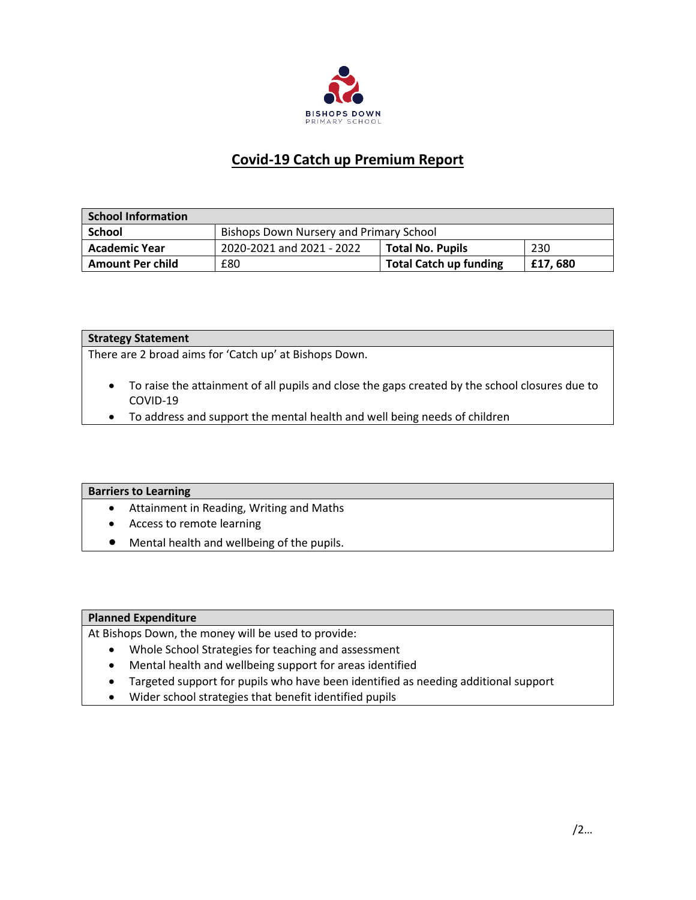

## **Covid-19 Catch up Premium Report**

| <b>School Information</b> |                                         |                               |         |
|---------------------------|-----------------------------------------|-------------------------------|---------|
| <b>School</b>             | Bishops Down Nursery and Primary School |                               |         |
| <b>Academic Year</b>      | 2020-2021 and 2021 - 2022               | <b>Total No. Pupils</b>       | 230     |
| <b>Amount Per child</b>   | £80                                     | <b>Total Catch up funding</b> | £17,680 |

## **Strategy Statement**

There are 2 broad aims for 'Catch up' at Bishops Down.

- To raise the attainment of all pupils and close the gaps created by the school closures due to COVID-19
- To address and support the mental health and well being needs of children

## **Barriers to Learning**

- Attainment in Reading, Writing and Maths
- Access to remote learning
- Mental health and wellbeing of the pupils.

## **Planned Expenditure**

At Bishops Down, the money will be used to provide:

- Whole School Strategies for teaching and assessment
- Mental health and wellbeing support for areas identified
- Targeted support for pupils who have been identified as needing additional support
- Wider school strategies that benefit identified pupils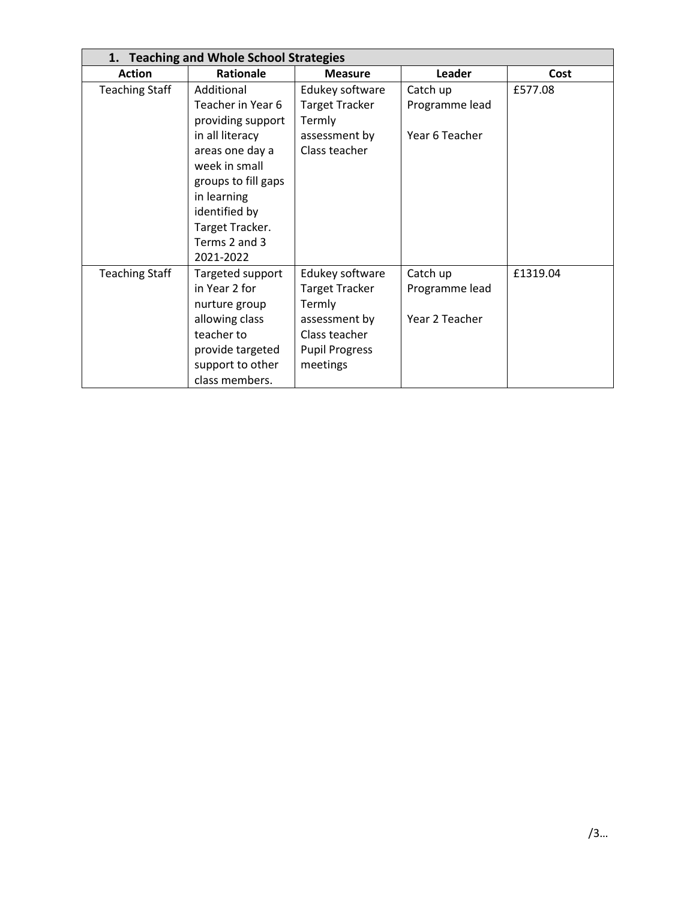| 1. Teaching and Whole School Strategies |                     |                       |                |          |
|-----------------------------------------|---------------------|-----------------------|----------------|----------|
| <b>Action</b>                           | <b>Rationale</b>    | <b>Measure</b>        | Leader         | Cost     |
| <b>Teaching Staff</b>                   | Additional          | Edukey software       | Catch up       | £577.08  |
|                                         | Teacher in Year 6   | <b>Target Tracker</b> | Programme lead |          |
|                                         | providing support   | Termly                |                |          |
|                                         | in all literacy     | assessment by         | Year 6 Teacher |          |
|                                         | areas one day a     | Class teacher         |                |          |
|                                         | week in small       |                       |                |          |
|                                         | groups to fill gaps |                       |                |          |
|                                         | in learning         |                       |                |          |
|                                         | identified by       |                       |                |          |
|                                         | Target Tracker.     |                       |                |          |
|                                         | Terms 2 and 3       |                       |                |          |
|                                         | 2021-2022           |                       |                |          |
| <b>Teaching Staff</b>                   | Targeted support    | Edukey software       | Catch up       | £1319.04 |
|                                         | in Year 2 for       | <b>Target Tracker</b> | Programme lead |          |
|                                         | nurture group       | Termly                |                |          |
|                                         | allowing class      | assessment by         | Year 2 Teacher |          |
|                                         | teacher to          | Class teacher         |                |          |
|                                         | provide targeted    | <b>Pupil Progress</b> |                |          |
|                                         | support to other    | meetings              |                |          |
|                                         | class members.      |                       |                |          |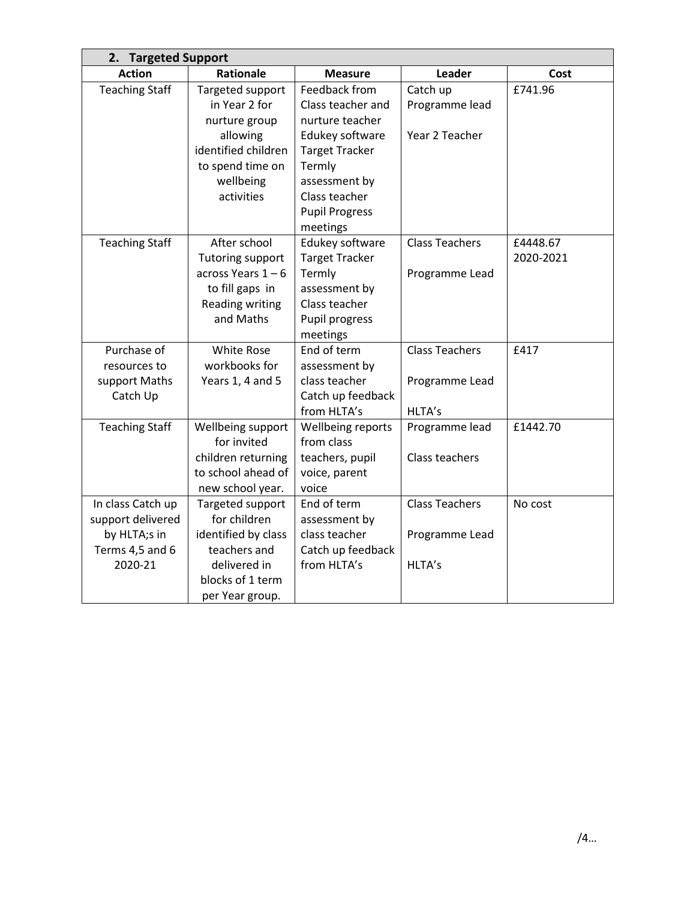| <b>Targeted Support</b><br>2.   |                                          |                                  |                       |           |
|---------------------------------|------------------------------------------|----------------------------------|-----------------------|-----------|
| <b>Action</b>                   | <b>Rationale</b>                         | <b>Measure</b>                   | Leader                | Cost      |
| <b>Teaching Staff</b>           | Targeted support                         | Feedback from                    | Catch up              | £741.96   |
|                                 | in Year 2 for                            | Class teacher and                | Programme lead        |           |
|                                 | nurture group                            | nurture teacher                  |                       |           |
|                                 | allowing                                 | Edukey software                  | Year 2 Teacher        |           |
|                                 | identified children                      | <b>Target Tracker</b>            |                       |           |
|                                 | to spend time on                         | Termly                           |                       |           |
|                                 | wellbeing                                | assessment by                    |                       |           |
|                                 | activities                               | Class teacher                    |                       |           |
|                                 |                                          | <b>Pupil Progress</b>            |                       |           |
|                                 |                                          | meetings                         |                       |           |
| <b>Teaching Staff</b>           | After school                             | Edukey software                  | <b>Class Teachers</b> | £4448.67  |
|                                 | <b>Tutoring support</b>                  | <b>Target Tracker</b>            |                       | 2020-2021 |
|                                 | across Years $1 - 6$                     | Termly                           | Programme Lead        |           |
|                                 | to fill gaps in                          | assessment by                    |                       |           |
|                                 | Reading writing                          | Class teacher                    |                       |           |
|                                 | and Maths                                | Pupil progress                   |                       |           |
|                                 |                                          | meetings                         |                       |           |
| Purchase of                     | <b>White Rose</b>                        | End of term                      | <b>Class Teachers</b> | £417      |
| resources to                    | workbooks for                            | assessment by                    |                       |           |
| support Maths                   | Years 1, 4 and 5                         | class teacher                    | Programme Lead        |           |
| Catch Up                        |                                          | Catch up feedback                |                       |           |
|                                 |                                          | from HLTA's                      | HLTA's                |           |
| <b>Teaching Staff</b>           | Wellbeing support                        | Wellbeing reports                | Programme lead        | £1442.70  |
|                                 | for invited                              | from class                       |                       |           |
|                                 | children returning<br>to school ahead of | teachers, pupil                  | Class teachers        |           |
|                                 |                                          | voice, parent                    |                       |           |
|                                 | new school year.                         | voice<br>End of term             | <b>Class Teachers</b> | No cost   |
| In class Catch up               | Targeted support<br>for children         |                                  |                       |           |
| support delivered               |                                          | assessment by<br>class teacher   |                       |           |
| by HLTA;s in<br>Terms 4,5 and 6 | identified by class<br>teachers and      |                                  | Programme Lead        |           |
| 2020-21                         | delivered in                             | Catch up feedback<br>from HLTA's | HLTA's                |           |
|                                 | blocks of 1 term                         |                                  |                       |           |
|                                 |                                          |                                  |                       |           |
|                                 | per Year group.                          |                                  |                       |           |